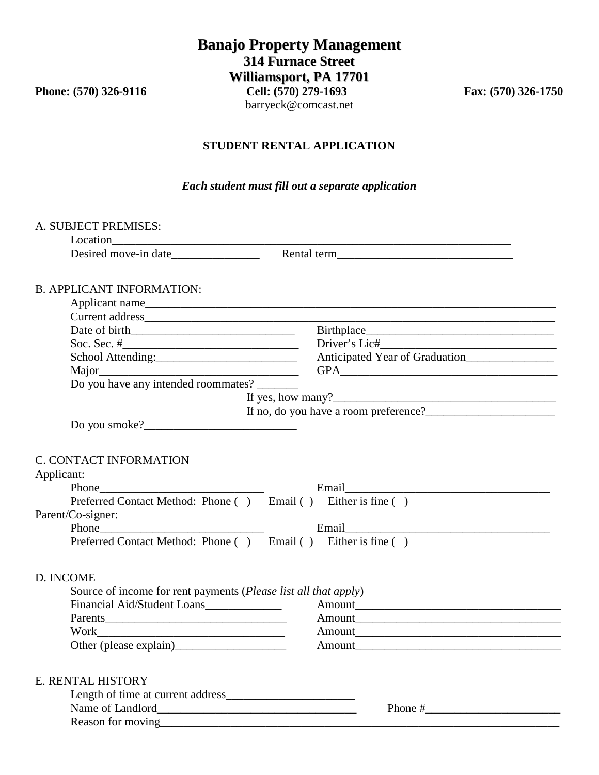|                       | <b>Banajo Property Management</b> |                     |
|-----------------------|-----------------------------------|---------------------|
|                       | <b>314 Furnace Street</b>         |                     |
|                       | Williamsport, PA 17701            |                     |
| Phone: (570) 326-9116 | Cell: (570) 279-1693              | Fax: (570) 326-1750 |
|                       | barryeck@comcast.net              |                     |

## **STUDENT RENTAL APPLICATION**

*Each student must fill out a separate application* 

| A. SUBJECT PREMISES:                                                                                                                                                                                                                                                                                                                          |                                               |  |  |  |
|-----------------------------------------------------------------------------------------------------------------------------------------------------------------------------------------------------------------------------------------------------------------------------------------------------------------------------------------------|-----------------------------------------------|--|--|--|
| Location <u>contained</u>                                                                                                                                                                                                                                                                                                                     |                                               |  |  |  |
| <b>B. APPLICANT INFORMATION:</b>                                                                                                                                                                                                                                                                                                              |                                               |  |  |  |
|                                                                                                                                                                                                                                                                                                                                               |                                               |  |  |  |
|                                                                                                                                                                                                                                                                                                                                               |                                               |  |  |  |
|                                                                                                                                                                                                                                                                                                                                               |                                               |  |  |  |
| School Attending:                                                                                                                                                                                                                                                                                                                             | Anticipated Year of Graduation_______________ |  |  |  |
|                                                                                                                                                                                                                                                                                                                                               |                                               |  |  |  |
| Do you have any intended roommates?                                                                                                                                                                                                                                                                                                           |                                               |  |  |  |
|                                                                                                                                                                                                                                                                                                                                               |                                               |  |  |  |
|                                                                                                                                                                                                                                                                                                                                               |                                               |  |  |  |
|                                                                                                                                                                                                                                                                                                                                               |                                               |  |  |  |
|                                                                                                                                                                                                                                                                                                                                               |                                               |  |  |  |
| <b>C. CONTACT INFORMATION</b><br>Applicant:<br>Phone Phone                                                                                                                                                                                                                                                                                    | Email <b>Execution</b>                        |  |  |  |
| Preferred Contact Method: Phone () Email () Either is fine ()                                                                                                                                                                                                                                                                                 |                                               |  |  |  |
| Parent/Co-signer:                                                                                                                                                                                                                                                                                                                             |                                               |  |  |  |
| $\mathbf{r}$ and $\mathbf{r}$ and $\mathbf{r}$<br>Phone Phone                                                                                                                                                                                                                                                                                 | Email                                         |  |  |  |
| Preferred Contact Method: Phone () Email () Either is fine ()                                                                                                                                                                                                                                                                                 |                                               |  |  |  |
|                                                                                                                                                                                                                                                                                                                                               |                                               |  |  |  |
| D. INCOME<br>Source of income for rent payments (Please list all that apply)<br>Financial Aid/Student Loans<br>Amount that the state of the state of the state of the state of the state of the state of the state of the state of the state of the state of the state of the state of the state of the state of the state of the state of th |                                               |  |  |  |
| <b>E. RENTAL HISTORY</b>                                                                                                                                                                                                                                                                                                                      |                                               |  |  |  |
|                                                                                                                                                                                                                                                                                                                                               |                                               |  |  |  |
|                                                                                                                                                                                                                                                                                                                                               |                                               |  |  |  |
|                                                                                                                                                                                                                                                                                                                                               |                                               |  |  |  |
|                                                                                                                                                                                                                                                                                                                                               |                                               |  |  |  |